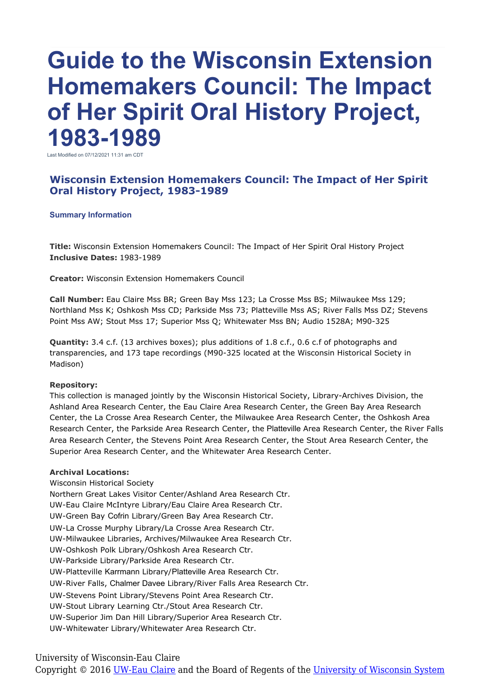# **Guide to the Wisconsin Extension Homemakers Council: The Impact of Her Spirit Oral History Project, 1983-1989**

Last Modified on 07/12/2021 11:31 am CDT

## **Wisconsin Extension Homemakers Council: The Impact of Her Spirit Oral History Project, 1983-1989**

#### **Summary Information**

**Title:** Wisconsin Extension Homemakers Council: The Impact of Her Spirit Oral History Project **Inclusive Dates:** 1983-1989

**Creator:** Wisconsin Extension Homemakers Council

**Call Number:** Eau Claire Mss BR; Green Bay Mss 123; La Crosse Mss BS; Milwaukee Mss 129; Northland Mss K; Oshkosh Mss CD; Parkside Mss 73; Platteville Mss AS; River Falls Mss DZ; Stevens Point Mss AW; Stout Mss 17; Superior Mss Q; Whitewater Mss BN; Audio 1528A; M90-325

**Quantity:** 3.4 c.f. (13 archives boxes); plus additions of 1.8 c.f., 0.6 c.f of photographs and transparencies, and 173 tape recordings (M90-325 located at the Wisconsin Historical Society in Madison)

## **Repository:**

This collection is managed jointly by the Wisconsin Historical Society, Library-Archives Division, the Ashland Area Research Center, the Eau Claire Area Research Center, the Green Bay Area Research Center, the La Crosse Area Research Center, the Milwaukee Area Research Center, the Oshkosh Area Research Center, the Parkside Area Research Center, the Platteville Area Research Center, the River Falls Area Research Center, the Stevens Point Area Research Center, the Stout Area Research Center, the Superior Area Research Center, and the Whitewater Area Research Center.

## **Archival Locations:**

Wisconsin Historical Society Northern Great Lakes Visitor Center/Ashland Area Research Ctr. UW-Eau Claire McIntyre Library/Eau Claire Area Research Ctr. UW-Green Bay Cofrin Library/Green Bay Area Research Ctr. UW-La Crosse Murphy Library/La Crosse Area Research Ctr. UW-Milwaukee Libraries, Archives/Milwaukee Area Research Ctr. UW-Oshkosh Polk Library/Oshkosh Area Research Ctr. UW-Parkside Library/Parkside Area Research Ctr. UW-Platteville Karrmann Library/Platteville Area Research Ctr. UW-River Falls, Chalmer Davee Library/River Falls Area Research Ctr. UW-Stevens Point Library/Stevens Point Area Research Ctr. UW-Stout Library Learning Ctr./Stout Area Research Ctr. UW-Superior Jim Dan Hill Library/Superior Area Research Ctr.

UW-Whitewater Library/Whitewater Area Research Ctr.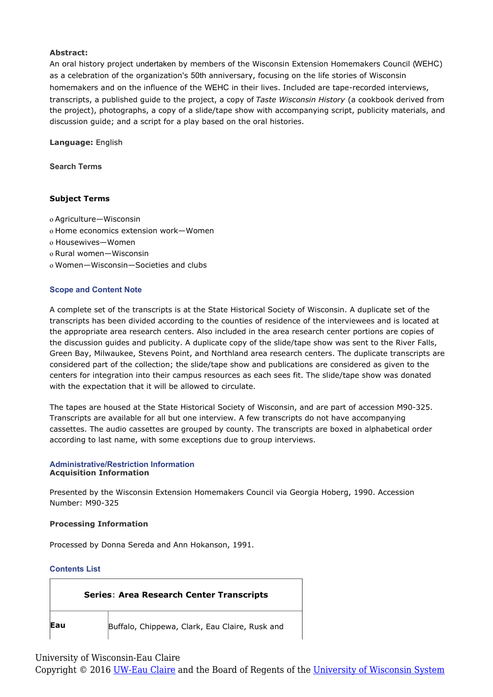## **Abstract:**

An oral history project undertaken by members of the Wisconsin Extension Homemakers Council (WEHC) as a celebration of the organization's 50th anniversary, focusing on the life stories of Wisconsin homemakers and on the influence of the WEHC in their lives. Included are tape-recorded interviews, transcripts, a published guide to the project, a copy of *Taste Wisconsin History* (a cookbook derived from the project), photographs, a copy of a slide/tape show with accompanying script, publicity materials, and discussion guide; and a script for a play based on the oral histories.

**Language:** English

**Search Terms**

## **Subject Terms**

- o Agriculture—Wisconsin
- o Home economics extension work—Women
- o Housewives—Women
- o Rural women—Wisconsin
- o Women—Wisconsin—Societies and clubs

## **Scope and Content Note**

A complete set of the transcripts is at the State Historical Society of Wisconsin. A duplicate set of the transcripts has been divided according to the counties of residence of the interviewees and is located at the appropriate area research centers. Also included in the area research center portions are copies of the discussion guides and publicity. A duplicate copy of the slide/tape show was sent to the River Falls, Green Bay, Milwaukee, Stevens Point, and Northland area research centers. The duplicate transcripts are considered part of the collection; the slide/tape show and publications are considered as given to the centers for integration into their campus resources as each sees fit. The slide/tape show was donated with the expectation that it will be allowed to circulate.

The tapes are housed at the State Historical Society of Wisconsin, and are part of accession M90-325. Transcripts are available for all but one interview. A few transcripts do not have accompanying cassettes. The audio cassettes are grouped by county. The transcripts are boxed in alphabetical order according to last name, with some exceptions due to group interviews.

#### **Administrative/Restriction Information Acquisition Information**

Presented by the Wisconsin Extension Homemakers Council via Georgia Hoberg, 1990. Accession Number: M90-325

## **Processing Information**

Processed by Donna Sereda and Ann Hokanson, 1991.

## **Contents List**

| <b>Series: Area Research Center Transcripts</b> |                                                |
|-------------------------------------------------|------------------------------------------------|
| Eau                                             | Buffalo, Chippewa, Clark, Eau Claire, Rusk and |

## University of Wisconsin-Eau Claire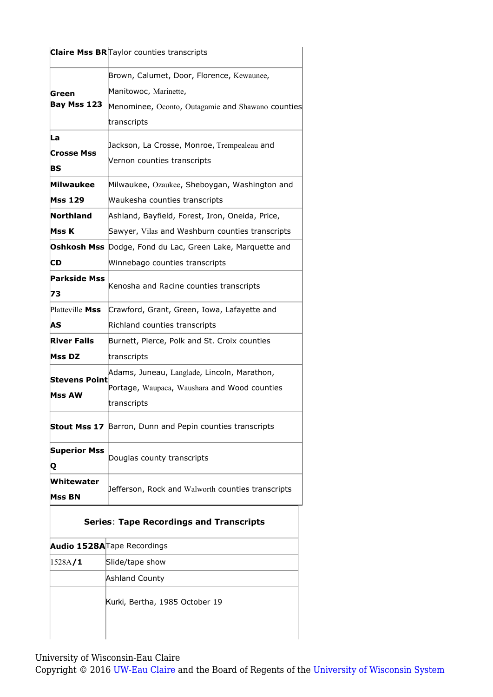|                      | Claire Mss BR Taylor counties transcripts                 |
|----------------------|-----------------------------------------------------------|
|                      | Brown, Calumet, Door, Florence, Kewaunee,                 |
| Green                | Manitowoc, Marinette,                                     |
| Bay Mss 123          | Menominee, Oconto, Outagamie and Shawano counties         |
|                      | transcripts                                               |
| La                   | Jackson, La Crosse, Monroe, Trempealeau and               |
| <b>Crosse Mss</b>    | Vernon counties transcripts                               |
| BS                   |                                                           |
| Milwaukee            | Milwaukee, Ozaukee, Sheboygan, Washington and             |
| <b>Mss 129</b>       | Waukesha counties transcripts                             |
| Northland            | Ashland, Bayfield, Forest, Iron, Oneida, Price,           |
| Mss K                | Sawyer, Vilas and Washburn counties transcripts           |
|                      | Oshkosh Mss Dodge, Fond du Lac, Green Lake, Marquette and |
| CD                   | Winnebago counties transcripts                            |
| Parkside Mss         | Kenosha and Racine counties transcripts                   |
| 73                   |                                                           |
| Platteville Mss      | Crawford, Grant, Green, Iowa, Lafayette and               |
| AS                   | Richland counties transcripts                             |
| <b>River Falls</b>   | Burnett, Pierce, Polk and St. Croix counties              |
| <b>Mss DZ</b>        | transcripts                                               |
| <b>Stevens Point</b> | Adams, Juneau, Langlade, Lincoln, Marathon,               |
| Mss AW               | Portage, Waupaca, Waushara and Wood counties              |
|                      | transcripts                                               |
|                      | Stout Mss 17 Barron, Dunn and Pepin counties transcripts  |
| <b>Superior Mss</b>  | Douglas county transcripts                                |
| Q<br>Whitewater      |                                                           |
| Mss BN               | Jefferson, Rock and Walworth counties transcripts         |
|                      | <b>Series: Tape Recordings and Transcripts</b>            |
|                      | Audio 1528A Tape Recordings                               |
| 1528A/1              | Slide/tape show                                           |
|                      | <b>Ashland County</b>                                     |
|                      | Kurki, Bertha, 1985 October 19                            |
|                      |                                                           |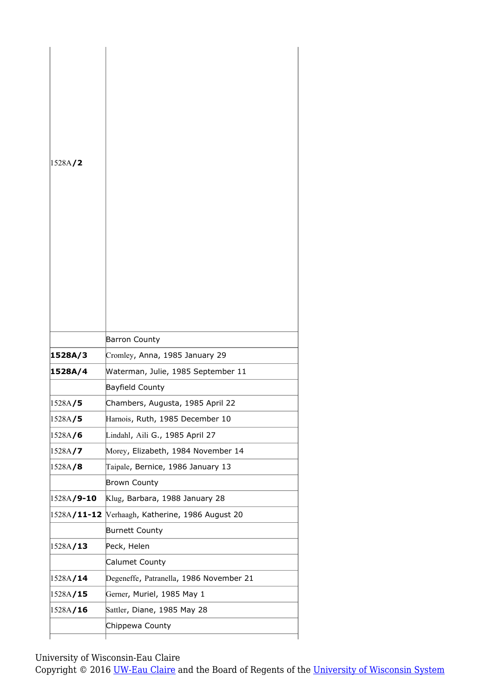| 1528A/2         |                                                 |
|-----------------|-------------------------------------------------|
|                 |                                                 |
|                 |                                                 |
|                 |                                                 |
|                 |                                                 |
|                 |                                                 |
|                 |                                                 |
|                 |                                                 |
|                 |                                                 |
|                 |                                                 |
|                 |                                                 |
|                 | <b>Barron County</b>                            |
| 1528A/3         | Cromley, Anna, 1985 January 29                  |
| 1528A/4         | Waterman, Julie, 1985 September 11              |
|                 | Bayfield County                                 |
| 1528A/5         | Chambers, Augusta, 1985 April 22                |
| 1528A/ <b>5</b> | Harnois, Ruth, 1985 December 10                 |
| 1528A/6         | Lindahl, Aili G., 1985 April 27                 |
| 1528A/7         | Morey, Elizabeth, 1984 November 14              |
| 1528A/8         | Taipale, Bernice, 1986 January 13               |
|                 | <b>Brown County</b>                             |
| 1528A/9-10      | Klug, Barbara, 1988 January 28                  |
|                 | 1528A/11-12 Verhaagh, Katherine, 1986 August 20 |
|                 | Burnett County                                  |
| 1528A/13        | Peck, Helen                                     |
|                 | Calumet County                                  |
| 1528A/14        | Degeneffe, Patranella, 1986 November 21         |
|                 | Gerner, Muriel, 1985 May 1                      |
| 1528A/15        |                                                 |
| 1528A/16        | Sattler, Diane, 1985 May 28                     |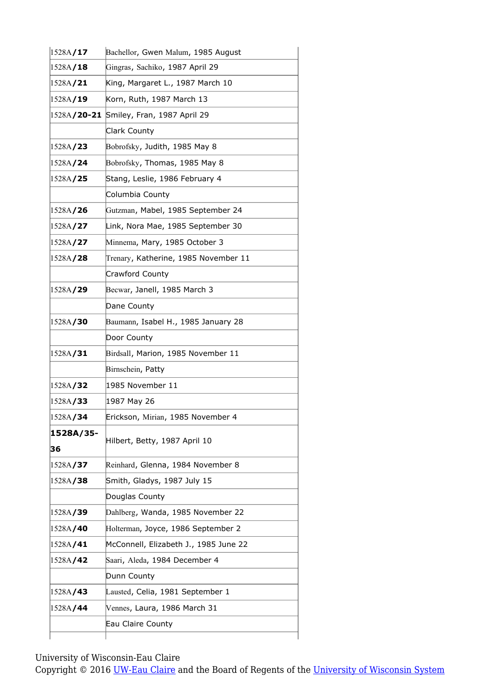| 1528A/17         | Bachellor, Gwen Malum, 1985 August      |
|------------------|-----------------------------------------|
| 1528A/18         | Gingras, Sachiko, 1987 April 29         |
| 1528A/21         | King, Margaret L., 1987 March 10        |
| 1528A/19         | Korn, Ruth, 1987 March 13               |
|                  | 1528A/20-21 Smiley, Fran, 1987 April 29 |
|                  | Clark County                            |
| 1528A/ <b>23</b> | Bobrofsky, Judith, 1985 May 8           |
| 1528A/24         | Bobrofsky, Thomas, 1985 May 8           |
| 1528A/ <b>25</b> | Stang, Leslie, 1986 February 4          |
|                  | Columbia County                         |
| 1528A/ <b>26</b> | Gutzman, Mabel, 1985 September 24       |
| 1528A/ <b>27</b> | Link, Nora Mae, 1985 September 30       |
| 1528A/27         | Minnema, Mary, 1985 October 3           |
| 1528A/28         | Trenary, Katherine, 1985 November 11    |
|                  | Crawford County                         |
| 1528A/29         | Becwar, Janell, 1985 March 3            |
|                  | Dane County                             |
| 1528A/30         | Baumann, Isabel H., 1985 January 28     |
|                  | Door County                             |
| 1528A/31         | Birdsall, Marion, 1985 November 11      |
|                  | Birnschein, Patty                       |
| 1528A/32         | 1985 November 11                        |
| 1528A/ <b>33</b> | 1987 May 26                             |
| 1528A/34         | Erickson, Mirian, 1985 November 4       |
| 1528A/35-<br>36  | Hilbert, Betty, 1987 April 10           |
| 1528A/ <b>37</b> | Reinhard, Glenna, 1984 November 8       |
| 1528A/ <b>38</b> | Smith, Gladys, 1987 July 15             |
|                  | Douglas County                          |
| 1528A/ <b>39</b> | Dahlberg, Wanda, 1985 November 22       |
| 1528A/40         | Holterman, Joyce, 1986 September 2      |
| 1528A/41         | McConnell, Elizabeth J., 1985 June 22   |
| 1528A/42         | Saari, Aleda, 1984 December 4           |
|                  | Dunn County                             |
| 1528A/43         | Lausted, Celia, 1981 September 1        |
| 1528A/44         | Vennes, Laura, 1986 March 31            |
|                  |                                         |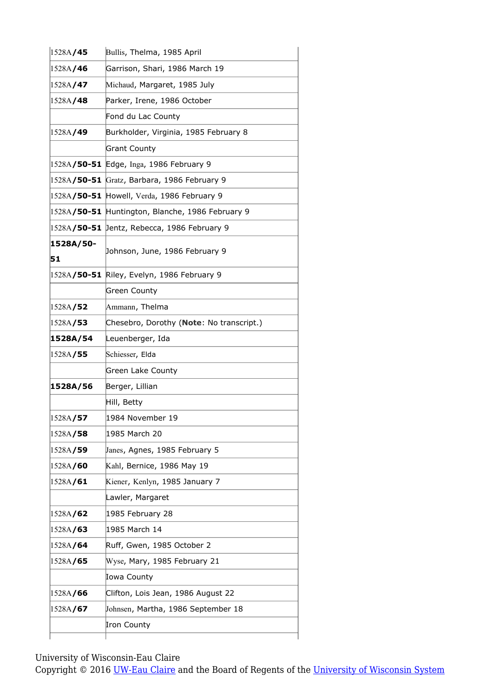| 1528A/45         | Bullis, Thelma, 1985 April                       |
|------------------|--------------------------------------------------|
| 1528A/46         | Garrison, Shari, 1986 March 19                   |
| 1528A/ <b>47</b> | Michaud, Margaret, 1985 July                     |
| 1528A/48         | Parker, Irene, 1986 October                      |
|                  | Fond du Lac County                               |
| 1528A/49         | Burkholder, Virginia, 1985 February 8            |
|                  | <b>Grant County</b>                              |
|                  | 1528A/50-51 Edge, Inga, 1986 February 9          |
|                  | 1528A/50-51 Gratz, Barbara, 1986 February 9      |
|                  | 1528A/50-51 Howell, Verda, 1986 February 9       |
|                  | 1528A/50-51 Huntington, Blanche, 1986 February 9 |
|                  | 1528A/50-51 Jentz, Rebecca, 1986 February 9      |
| 1528A/50-        | Johnson, June, 1986 February 9                   |
| 51               |                                                  |
|                  | 1528A/50-51 Riley, Evelyn, 1986 February 9       |
|                  | <b>Green County</b>                              |
| 1528A/ <b>52</b> | Ammann, Thelma                                   |
| 1528A/53         | Chesebro, Dorothy (Note: No transcript.)         |
| 1528A/54         | Leuenberger, Ida                                 |
| 1528A/ <b>55</b> | Schiesser, Elda                                  |
|                  | <b>Green Lake County</b>                         |
| 1528A/56         | Berger, Lillian                                  |
|                  | Hill, Betty                                      |
| 1528A/57         | 1984 November 19                                 |
| 1528A/ <b>58</b> | 1985 March 20                                    |
| 1528A/59         | Janes, Agnes, 1985 February 5                    |
| 1528A/60         | Kahl, Bernice, 1986 May 19                       |
| 1528A/61         | Kiener, Kenlyn, 1985 January 7                   |
|                  | Lawler, Margaret                                 |
| 1528A/ <b>62</b> | 1985 February 28                                 |
| 1528A/63         | 1985 March 14                                    |
| 1528A/64         | Ruff, Gwen, 1985 October 2                       |
| 1528A/ <b>65</b> | Wyse, Mary, 1985 February 21                     |
|                  | Iowa County                                      |
| 1528A/ <b>66</b> | Clifton, Lois Jean, 1986 August 22               |
|                  |                                                  |
| 1528A/67         | Johnsen, Martha, 1986 September 18               |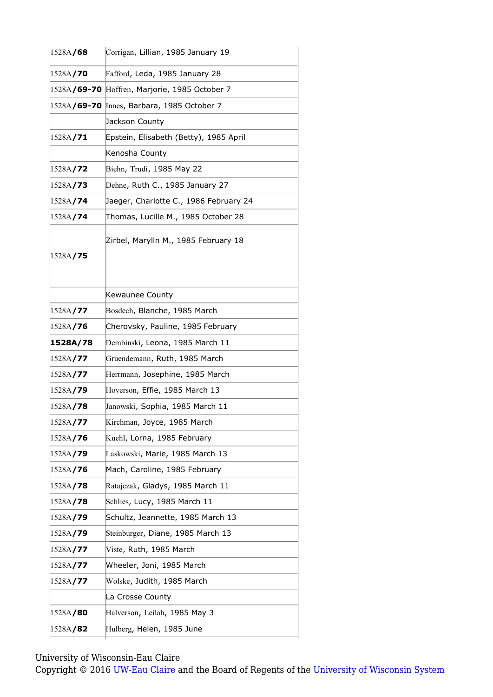| 1528A/68         | Corrigan, Lillian, 1985 January 19            |
|------------------|-----------------------------------------------|
| 1528A/70         | Fafford, Leda, 1985 January 28                |
|                  | 1528A/69-70 Hoffren, Marjorie, 1985 October 7 |
|                  | 1528A/69-70 Innes, Barbara, 1985 October 7    |
|                  | Jackson County                                |
| 1528A/71         | Epstein, Elisabeth (Betty), 1985 April        |
|                  | Kenosha County                                |
| 1528A/ <b>72</b> | Biehn, Trudi, 1985 May 22                     |
| 1528A/73         | Dehne, Ruth C., 1985 January 27               |
| 1528A/ <b>74</b> | Jaeger, Charlotte C., 1986 February 24        |
| 1528A/74         | Thomas, Lucille M., 1985 October 28           |
| 1528A/ <b>75</b> | Zirbel, Marylln M., 1985 February 18          |
|                  | Kewaunee County                               |
| 1528A/ <b>77</b> | Bosdech, Blanche, 1985 March                  |
| 1528A/ <b>76</b> | Cherovsky, Pauline, 1985 February             |
| 1528A/78         | Dembinski, Leona, 1985 March 11               |
| 1528A/77         | Gruendemann, Ruth, 1985 March                 |
| 1528A/77         | Herrmann, Josephine, 1985 March               |
| 1528A/79         | Hoverson, Effie, 1985 March 13                |
| 1528A/78         | Janowski, Sophia, 1985 March 11               |
| 1528A/77         | Kirchman, Joyce, 1985 March                   |
| 1528A/76         | Kuehl, Lorna, 1985 February                   |
| 1528A/79         | Laskowski, Marie, 1985 March 13               |
| 1528A/76         | Mach, Caroline, 1985 February                 |
| 1528A/78         | Ratajczak, Gladys, 1985 March 11              |
| 1528A/78         | Schlies, Lucy, 1985 March 11                  |
| 1528A/79         | Schultz, Jeannette, 1985 March 13             |
| 1528A/ <b>79</b> | Steinburger, Diane, 1985 March 13             |
| 1528A/ <b>77</b> | Viste, Ruth, 1985 March                       |
| 1528A/ <b>77</b> | Wheeler, Joni, 1985 March                     |
| 1528A/ <b>77</b> | Wolske, Judith, 1985 March                    |
|                  | La Crosse County                              |
| 1528A/ <b>80</b> | Halverson, Leilah, 1985 May 3                 |
| 1528A/82         | Hulberg, Helen, 1985 June                     |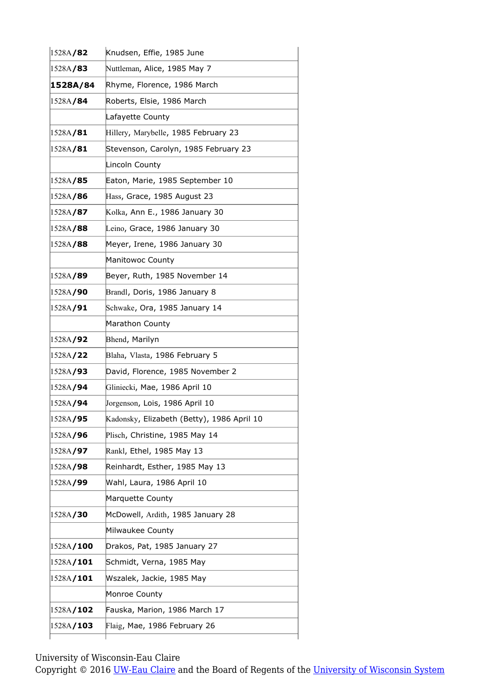| 1528A/82          | Knudsen, Effie, 1985 June                  |
|-------------------|--------------------------------------------|
| 1528A/83          | Nuttleman, Alice, 1985 May 7               |
| 1528A/84          | Rhyme, Florence, 1986 March                |
| 1528A/ <b>84</b>  | Roberts, Elsie, 1986 March                 |
|                   | Lafayette County                           |
| 1528A/81          | Hillery, Marybelle, 1985 February 23       |
| 1528A/81          | Stevenson, Carolyn, 1985 February 23       |
|                   | Lincoln County                             |
| 1528A/ <b>85</b>  | Eaton, Marie, 1985 September 10            |
| 1528A/ <b>86</b>  | Hass, Grace, 1985 August 23                |
| 1528A/87          | Kolka, Ann E., 1986 January 30             |
| 1528A/88          | Leino, Grace, 1986 January 30              |
| 1528A/88          | Meyer, Irene, 1986 January 30              |
|                   | Manitowoc County                           |
| 1528A/89          | Beyer, Ruth, 1985 November 14              |
| 1528A/90          | Brandl, Doris, 1986 January 8              |
| 1528A/91          | Schwake, Ora, 1985 January 14              |
|                   | Marathon County                            |
| 1528A/92          | Bhend, Marilyn                             |
| 1528A/ <b>22</b>  | Blaha, Vlasta, 1986 February 5             |
| 1528A/ <b>93</b>  | David, Florence, 1985 November 2           |
| 1528A/ <b>94</b>  | Gliniecki, Mae, 1986 April 10              |
| 1528A/94          | Jorgenson, Lois, 1986 April 10             |
| 1528A/95          | Kadonsky, Elizabeth (Betty), 1986 April 10 |
| 1528A/ <b>96</b>  | Plisch, Christine, 1985 May 14             |
| 1528A/ <b>97</b>  | Rankl, Ethel, 1985 May 13                  |
| 1528A/98          | Reinhardt, Esther, 1985 May 13             |
| 1528A/99          | Wahl, Laura, 1986 April 10                 |
|                   | Marquette County                           |
| 1528A/ <b>30</b>  | McDowell, Ardith, 1985 January 28          |
|                   | Milwaukee County                           |
| 1528A/100         | Drakos, Pat, 1985 January 27               |
| 1528A/101         | Schmidt, Verna, 1985 May                   |
| 1528A/101         | Wszalek, Jackie, 1985 May                  |
|                   | Monroe County                              |
| 1528A/ <b>102</b> | Fauska, Marion, 1986 March 17              |
| 1528A/103         | Flaig, Mae, 1986 February 26               |
|                   |                                            |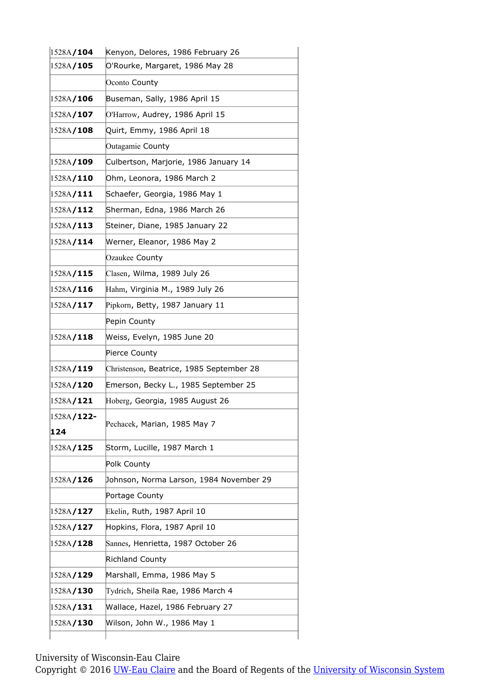| 1528A/104          | Kenyon, Delores, 1986 February 26        |
|--------------------|------------------------------------------|
| 1528A/105          | O'Rourke, Margaret, 1986 May 28          |
|                    | Oconto County                            |
| 1528A/ <b>106</b>  | Buseman, Sally, 1986 April 15            |
| 1528A/107          | O'Harrow, Audrey, 1986 April 15          |
| 1528A/108          | Quirt, Emmy, 1986 April 18               |
|                    | Outagamie County                         |
| 1528A/109          | Culbertson, Marjorie, 1986 January 14    |
| 1528A/110          | Ohm, Leonora, 1986 March 2               |
| 1528A/111          | Schaefer, Georgia, 1986 May 1            |
| 1528A/112          | Sherman, Edna, 1986 March 26             |
| 1528A/113          | Steiner, Diane, 1985 January 22          |
| 1528A/114          | Werner, Eleanor, 1986 May 2              |
|                    | Ozaukee County                           |
| 1528A/115          | Clasen, Wilma, 1989 July 26              |
| 1528A/116          | Hahm, Virginia M., 1989 July 26          |
| 1528A/117          | Pipkorn, Betty, 1987 January 11          |
|                    | Pepin County                             |
| 1528A/118          | Weiss, Evelyn, 1985 June 20              |
|                    | Pierce County                            |
| 1528A/119          | Christenson, Beatrice, 1985 September 28 |
| 1528A/120          | Emerson, Becky L., 1985 September 25     |
| 1528A/121          | Hoberg, Georgia, 1985 August 26          |
| 1528A <b>/122-</b> |                                          |
| 124                | Pechacek, Marian, 1985 May 7             |
| 1528A/125          | Storm, Lucille, 1987 March 1             |
|                    | Polk County                              |
| 1528A/126          | Johnson, Norma Larson, 1984 November 29  |
|                    | Portage County                           |
| 1528A/127          | Ekelin, Ruth, 1987 April 10              |
| 1528A/127          | Hopkins, Flora, 1987 April 10            |
| 1528A/128          | Sannes, Henrietta, 1987 October 26       |
|                    | <b>Richland County</b>                   |
|                    | Marshall, Emma, 1986 May 5               |
| 1528A/129          |                                          |
| 1528A/130          | Tydrich, Sheila Rae, 1986 March 4        |
| 1528A/131          | Wallace, Hazel, 1986 February 27         |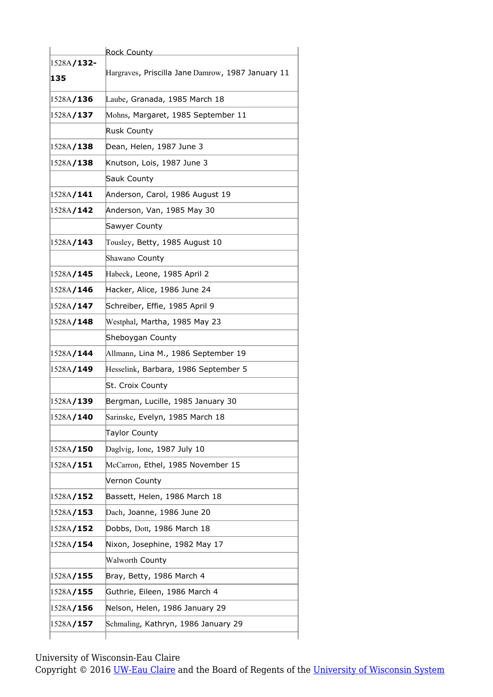|                           | Rock County                                       |
|---------------------------|---------------------------------------------------|
| 1528A <b>/132-</b><br>135 | Hargraves, Priscilla Jane Damrow, 1987 January 11 |
| 1528A/136                 | Laube, Granada, 1985 March 18                     |
| 1528A/137                 | Mohns, Margaret, 1985 September 11                |
|                           | <b>Rusk County</b>                                |
| 1528A/138                 | Dean, Helen, 1987 June 3                          |
| 1528A/138                 | Knutson, Lois, 1987 June 3                        |
|                           | Sauk County                                       |
| 1528A/141                 | Anderson, Carol, 1986 August 19                   |
| 1528A/142                 | Anderson, Van, 1985 May 30                        |
|                           | Sawyer County                                     |
| 1528A/143                 | Tousley, Betty, 1985 August 10                    |
|                           | Shawano County                                    |
| 1528A/ <b>145</b>         | Habeck, Leone, 1985 April 2                       |
| 1528A/146                 | Hacker, Alice, 1986 June 24                       |
| 1528A/147                 | Schreiber, Effie, 1985 April 9                    |
| 1528A/148                 | Westphal, Martha, 1985 May 23                     |
|                           | Sheboygan County                                  |
|                           |                                                   |
| 1528A/ <b>144</b>         | Allmann, Lina M., 1986 September 19               |
| 1528A/149                 | Hesselink, Barbara, 1986 September 5              |
|                           | St. Croix County                                  |
| 1528A/139                 | Bergman, Lucille, 1985 January 30                 |
| 1528A/140                 | Sarinske, Evelyn, 1985 March 18                   |
|                           | <b>Taylor County</b>                              |
| 1528A/ <b>150</b>         | Daglvig, Ione, 1987 July 10                       |
| 1528A/151                 | McCarron, Ethel, 1985 November 15                 |
|                           | Vernon County                                     |
| 1528A/ <b>152</b>         | Bassett, Helen, 1986 March 18                     |
| 1528A/153                 | Dach, Joanne, 1986 June 20                        |
| 1528A/152                 | Dobbs, Dott, 1986 March 18                        |
| 1528A/154                 | Nixon, Josephine, 1982 May 17                     |
|                           | Walworth County                                   |
| 1528A/155                 | Bray, Betty, 1986 March 4                         |
| 1528A/155                 | Guthrie, Eileen, 1986 March 4                     |
|                           |                                                   |
| 1528A/156                 | Nelson, Helen, 1986 January 29                    |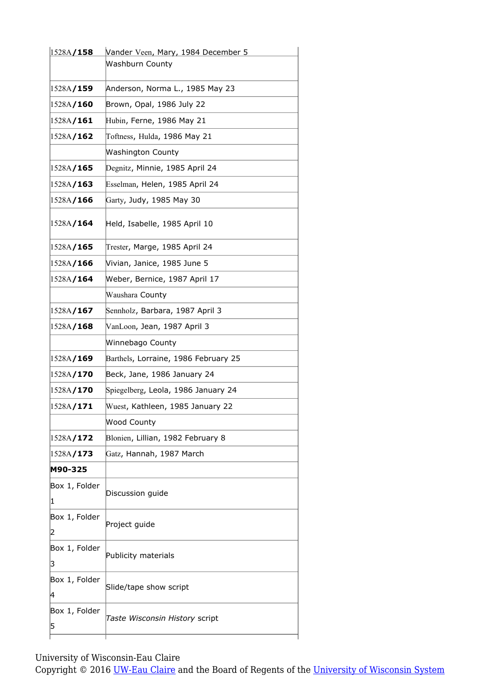| <b>Washburn County</b><br>Anderson, Norma L., 1985 May 23<br>Brown, Opal, 1986 July 22<br>Hubin, Ferne, 1986 May 21<br>Toftness, Hulda, 1986 May 21<br>Washington County<br>Degnitz, Minnie, 1985 April 24<br>Esselman, Helen, 1985 April 24<br>Garty, Judy, 1985 May 30<br>Held, Isabelle, 1985 April 10<br>Trester, Marge, 1985 April 24<br>Vivian, Janice, 1985 June 5<br>Weber, Bernice, 1987 April 17<br>Waushara County<br>Sennholz, Barbara, 1987 April 3<br>VanLoon, Jean, 1987 April 3<br>Winnebago County<br>Barthels, Lorraine, 1986 February 25<br>Beck, Jane, 1986 January 24<br>Spiegelberg, Leola, 1986 January 24<br>Wuest, Kathleen, 1985 January 22<br>Wood County<br>Blonien, Lillian, 1982 February 8<br>Gatz, Hannah, 1987 March<br>Discussion guide<br>Project guide<br>Publicity materials<br>Slide/tape show script<br>Taste Wisconsin History script | 1528A/158 | Vander Veen, Mary, 1984 December 5 |
|-------------------------------------------------------------------------------------------------------------------------------------------------------------------------------------------------------------------------------------------------------------------------------------------------------------------------------------------------------------------------------------------------------------------------------------------------------------------------------------------------------------------------------------------------------------------------------------------------------------------------------------------------------------------------------------------------------------------------------------------------------------------------------------------------------------------------------------------------------------------------------|-----------|------------------------------------|
| 1528A/159<br>1528A/160<br>1528A/ <b>161</b><br>1528A/162<br>1528A/165<br>1528A/ <b>163</b><br>1528A/166<br>1528A/ <b>164</b><br>1528A/ <b>165</b><br>1528A/166<br>1528A/164<br>1528A/167<br>1528A/168<br>1528A <b>/169</b><br>1528A/170<br>1528A/170<br>1528A/171<br>1528A/ <b>172</b><br>1528A/ <b>173</b><br>M90-325<br>Box 1, Folder<br> 1 <br>Box 1, Folder<br>2<br>Box 1, Folder<br>3<br>Box 1, Folder<br>4<br>Box 1, Folder<br>5                                                                                                                                                                                                                                                                                                                                                                                                                                        |           |                                    |
|                                                                                                                                                                                                                                                                                                                                                                                                                                                                                                                                                                                                                                                                                                                                                                                                                                                                               |           |                                    |
|                                                                                                                                                                                                                                                                                                                                                                                                                                                                                                                                                                                                                                                                                                                                                                                                                                                                               |           |                                    |
|                                                                                                                                                                                                                                                                                                                                                                                                                                                                                                                                                                                                                                                                                                                                                                                                                                                                               |           |                                    |
|                                                                                                                                                                                                                                                                                                                                                                                                                                                                                                                                                                                                                                                                                                                                                                                                                                                                               |           |                                    |
|                                                                                                                                                                                                                                                                                                                                                                                                                                                                                                                                                                                                                                                                                                                                                                                                                                                                               |           |                                    |
|                                                                                                                                                                                                                                                                                                                                                                                                                                                                                                                                                                                                                                                                                                                                                                                                                                                                               |           |                                    |
|                                                                                                                                                                                                                                                                                                                                                                                                                                                                                                                                                                                                                                                                                                                                                                                                                                                                               |           |                                    |
|                                                                                                                                                                                                                                                                                                                                                                                                                                                                                                                                                                                                                                                                                                                                                                                                                                                                               |           |                                    |
|                                                                                                                                                                                                                                                                                                                                                                                                                                                                                                                                                                                                                                                                                                                                                                                                                                                                               |           |                                    |
|                                                                                                                                                                                                                                                                                                                                                                                                                                                                                                                                                                                                                                                                                                                                                                                                                                                                               |           |                                    |
|                                                                                                                                                                                                                                                                                                                                                                                                                                                                                                                                                                                                                                                                                                                                                                                                                                                                               |           |                                    |
|                                                                                                                                                                                                                                                                                                                                                                                                                                                                                                                                                                                                                                                                                                                                                                                                                                                                               |           |                                    |
|                                                                                                                                                                                                                                                                                                                                                                                                                                                                                                                                                                                                                                                                                                                                                                                                                                                                               |           |                                    |
|                                                                                                                                                                                                                                                                                                                                                                                                                                                                                                                                                                                                                                                                                                                                                                                                                                                                               |           |                                    |
|                                                                                                                                                                                                                                                                                                                                                                                                                                                                                                                                                                                                                                                                                                                                                                                                                                                                               |           |                                    |
|                                                                                                                                                                                                                                                                                                                                                                                                                                                                                                                                                                                                                                                                                                                                                                                                                                                                               |           |                                    |
|                                                                                                                                                                                                                                                                                                                                                                                                                                                                                                                                                                                                                                                                                                                                                                                                                                                                               |           |                                    |
|                                                                                                                                                                                                                                                                                                                                                                                                                                                                                                                                                                                                                                                                                                                                                                                                                                                                               |           |                                    |
|                                                                                                                                                                                                                                                                                                                                                                                                                                                                                                                                                                                                                                                                                                                                                                                                                                                                               |           |                                    |
|                                                                                                                                                                                                                                                                                                                                                                                                                                                                                                                                                                                                                                                                                                                                                                                                                                                                               |           |                                    |
|                                                                                                                                                                                                                                                                                                                                                                                                                                                                                                                                                                                                                                                                                                                                                                                                                                                                               |           |                                    |
|                                                                                                                                                                                                                                                                                                                                                                                                                                                                                                                                                                                                                                                                                                                                                                                                                                                                               |           |                                    |
|                                                                                                                                                                                                                                                                                                                                                                                                                                                                                                                                                                                                                                                                                                                                                                                                                                                                               |           |                                    |
|                                                                                                                                                                                                                                                                                                                                                                                                                                                                                                                                                                                                                                                                                                                                                                                                                                                                               |           |                                    |
|                                                                                                                                                                                                                                                                                                                                                                                                                                                                                                                                                                                                                                                                                                                                                                                                                                                                               |           |                                    |
|                                                                                                                                                                                                                                                                                                                                                                                                                                                                                                                                                                                                                                                                                                                                                                                                                                                                               |           |                                    |
|                                                                                                                                                                                                                                                                                                                                                                                                                                                                                                                                                                                                                                                                                                                                                                                                                                                                               |           |                                    |
|                                                                                                                                                                                                                                                                                                                                                                                                                                                                                                                                                                                                                                                                                                                                                                                                                                                                               |           |                                    |
|                                                                                                                                                                                                                                                                                                                                                                                                                                                                                                                                                                                                                                                                                                                                                                                                                                                                               |           |                                    |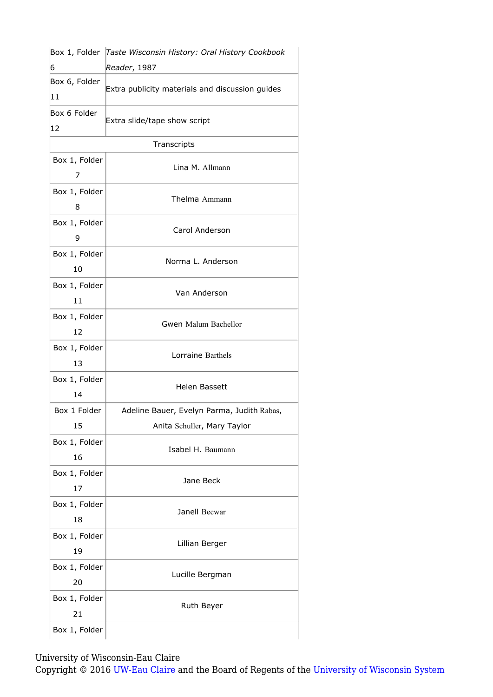|                     | Box 1, Folder Taste Wisconsin History: Oral History Cookbook |
|---------------------|--------------------------------------------------------------|
| 6                   | Reader, 1987                                                 |
| Box 6, Folder<br>11 | Extra publicity materials and discussion guides              |
| Box 6 Folder<br>12  | Extra slide/tape show script                                 |
|                     | Transcripts                                                  |
| Box 1, Folder<br>7  | Lina M. Allmann                                              |
| Box 1, Folder<br>8  | Thelma Ammann                                                |
| Box 1, Folder<br>9  | Carol Anderson                                               |
| Box 1, Folder<br>10 | Norma L. Anderson                                            |
| Box 1, Folder<br>11 | Van Anderson                                                 |
| Box 1, Folder<br>12 | Gwen Malum Bachellor                                         |
| Box 1, Folder<br>13 | Lorraine Barthels                                            |
| Box 1, Folder<br>14 | <b>Helen Bassett</b>                                         |
| Box 1 Folder        | Adeline Bauer, Evelyn Parma, Judith Rabas,                   |
| 15                  | Anita Schuller, Mary Taylor                                  |
| Box 1, Folder<br>16 | Isabel H. Baumann                                            |
| Box 1, Folder<br>17 | Jane Beck                                                    |
| Box 1, Folder<br>18 | Janell Becwar                                                |
| Box 1, Folder<br>19 | Lillian Berger                                               |
| Box 1, Folder<br>20 | Lucille Bergman                                              |
| Box 1, Folder<br>21 | Ruth Beyer                                                   |
| Box 1, Folder       |                                                              |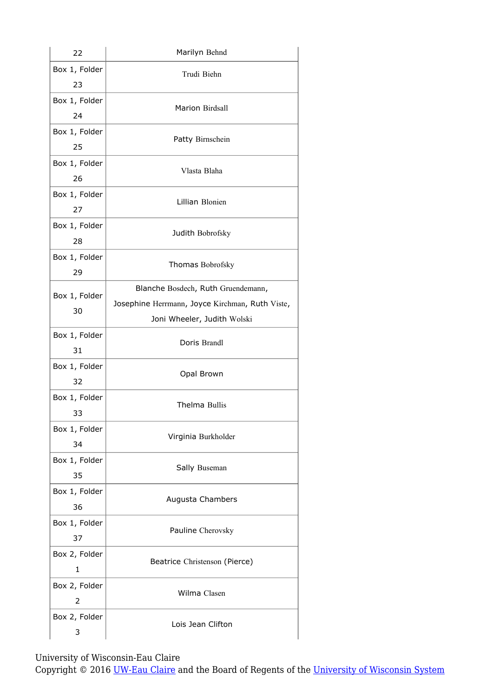| 22                  | Marilyn Behnd                                                                                                        |
|---------------------|----------------------------------------------------------------------------------------------------------------------|
| Box 1, Folder<br>23 | Trudi Biehn                                                                                                          |
| Box 1, Folder<br>24 | Marion Birdsall                                                                                                      |
| Box 1, Folder<br>25 | Patty Birnschein                                                                                                     |
| Box 1, Folder<br>26 | Vlasta Blaha                                                                                                         |
| Box 1, Folder<br>27 | Lillian Blonien                                                                                                      |
| Box 1, Folder<br>28 | Judith Bobrofsky                                                                                                     |
| Box 1, Folder<br>29 | Thomas Bobrofsky                                                                                                     |
| Box 1, Folder<br>30 | Blanche Bosdech, Ruth Gruendemann,<br>Josephine Herrmann, Joyce Kirchman, Ruth Viste,<br>Joni Wheeler, Judith Wolski |
| Box 1, Folder<br>31 | Doris Brandl                                                                                                         |
| Box 1, Folder<br>32 | Opal Brown                                                                                                           |
| Box 1, Folder<br>33 | Thelma Bullis                                                                                                        |
| Box 1, Folder<br>34 | Virginia Burkholder                                                                                                  |
| Box 1, Folder<br>35 | Sally Buseman                                                                                                        |
| Box 1, Folder<br>36 | Augusta Chambers                                                                                                     |
| Box 1, Folder<br>37 | Pauline Cherovsky                                                                                                    |
| Box 2, Folder<br>1  | Beatrice Christenson (Pierce)                                                                                        |
| Box 2, Folder<br>2  | Wilma Clasen                                                                                                         |
| Box 2, Folder<br>3  | Lois Jean Clifton                                                                                                    |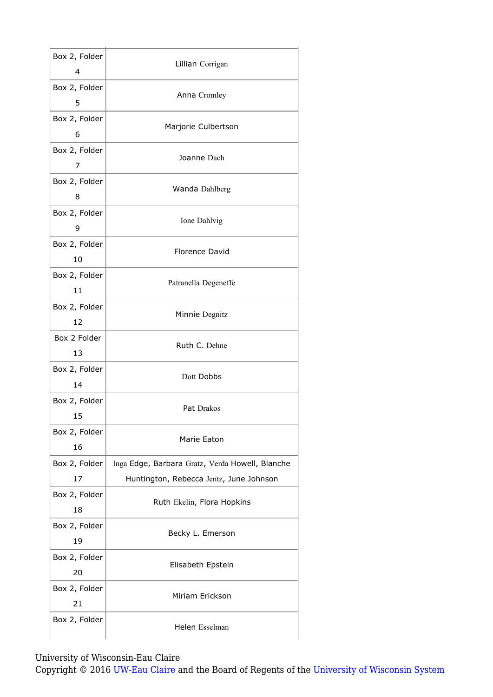| Box 2, Folder<br>4  | Lillian Corrigan                                |
|---------------------|-------------------------------------------------|
| Box 2, Folder<br>5  | Anna Cromley                                    |
| Box 2, Folder<br>6  | Marjorie Culbertson                             |
| Box 2, Folder<br>7  | Joanne Dach                                     |
| Box 2, Folder<br>8  | Wanda Dahlberg                                  |
| Box 2, Folder<br>9  | Ione Dahlvig                                    |
| Box 2, Folder<br>10 | <b>Florence David</b>                           |
| Box 2, Folder<br>11 | Patranella Degeneffe                            |
| Box 2, Folder<br>12 | Minnie Degnitz                                  |
| Box 2 Folder<br>13  | Ruth C. Dehne                                   |
| Box 2, Folder<br>14 | Dott Dobbs                                      |
| Box 2, Folder<br>15 | Pat Drakos                                      |
| Box 2, Folder<br>16 | Marie Eaton                                     |
| Box 2, Folder       | Inga Edge, Barbara Gratz, Verda Howell, Blanche |
| 17                  | Huntington, Rebecca Jentz, June Johnson         |
| Box 2, Folder<br>18 | Ruth Ekelin, Flora Hopkins                      |
| Box 2, Folder<br>19 | Becky L. Emerson                                |
| Box 2, Folder<br>20 | Elisabeth Epstein                               |
| Box 2, Folder<br>21 | Miriam Erickson                                 |
| Box 2, Folder       | Helen Esselman                                  |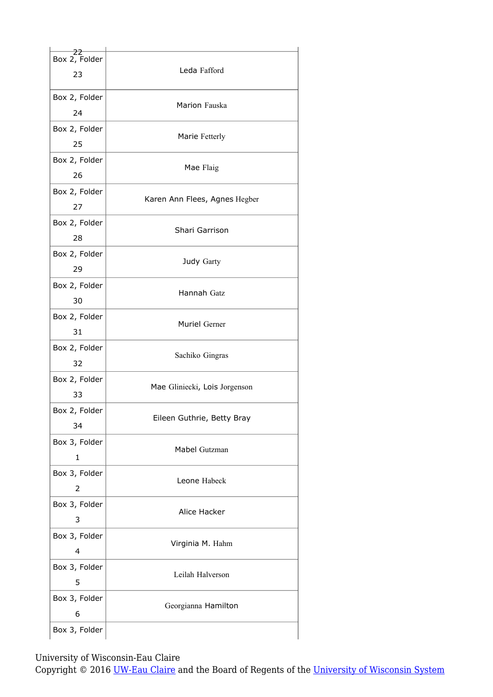| 22<br>Box 2, Folder<br>23 | Leda Fafford                  |
|---------------------------|-------------------------------|
| Box 2, Folder<br>24       | Marion Fauska                 |
| Box 2, Folder<br>25       | Marie Fetterly                |
| Box 2, Folder<br>26       | Mae Flaig                     |
| Box 2, Folder<br>27       | Karen Ann Flees, Agnes Hegber |
| Box 2, Folder<br>28       | Shari Garrison                |
| Box 2, Folder<br>29       | Judy Garty                    |
| Box 2, Folder<br>30       | Hannah Gatz                   |
| Box 2, Folder<br>31       | Muriel Gerner                 |
| Box 2, Folder<br>32       | Sachiko Gingras               |
| Box 2, Folder<br>33       | Mae Gliniecki, Lois Jorgenson |
| Box 2, Folder<br>34       | Eileen Guthrie, Betty Bray    |
| Box 3, Folder<br>1        | Mabel Gutzman                 |
| Box 3, Folder<br>2        | Leone Habeck                  |
| Box 3, Folder<br>3        | Alice Hacker                  |
| Box 3, Folder<br>4        | Virginia M. Hahm              |
| Box 3, Folder<br>5        | Leilah Halverson              |
| Box 3, Folder<br>6        | Georgianna Hamilton           |
| Box 3, Folder             |                               |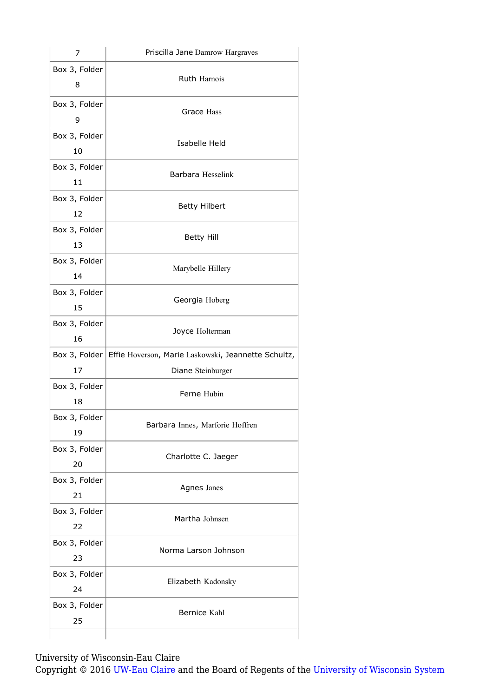| 7                   | Priscilla Jane Damrow Hargraves                                     |
|---------------------|---------------------------------------------------------------------|
| Box 3, Folder<br>8  | Ruth Harnois                                                        |
| Box 3, Folder<br>9  | Grace Hass                                                          |
| Box 3, Folder<br>10 | Isabelle Held                                                       |
| Box 3, Folder<br>11 | Barbara Hesselink                                                   |
| Box 3, Folder<br>12 | <b>Betty Hilbert</b>                                                |
| Box 3, Folder<br>13 | <b>Betty Hill</b>                                                   |
| Box 3, Folder<br>14 | Marybelle Hillery                                                   |
| Box 3, Folder<br>15 | Georgia Hoberg                                                      |
| Box 3, Folder<br>16 | Joyce Holterman                                                     |
|                     | Box 3, Folder   Effie Hoverson, Marie Laskowski, Jeannette Schultz, |
| 17                  | Diane Steinburger                                                   |
| Box 3, Folder<br>18 | Ferne Hubin                                                         |
| Box 3, Folder<br>19 | Barbara Innes, Marforie Hoffren                                     |
| Box 3, Folder<br>20 | Charlotte C. Jaeger                                                 |
| Box 3, Folder<br>21 | Agnes Janes                                                         |
| Box 3, Folder<br>22 | Martha Johnsen                                                      |
| Box 3, Folder<br>23 | Norma Larson Johnson                                                |
| Box 3, Folder<br>24 | Elizabeth Kadonsky                                                  |
|                     |                                                                     |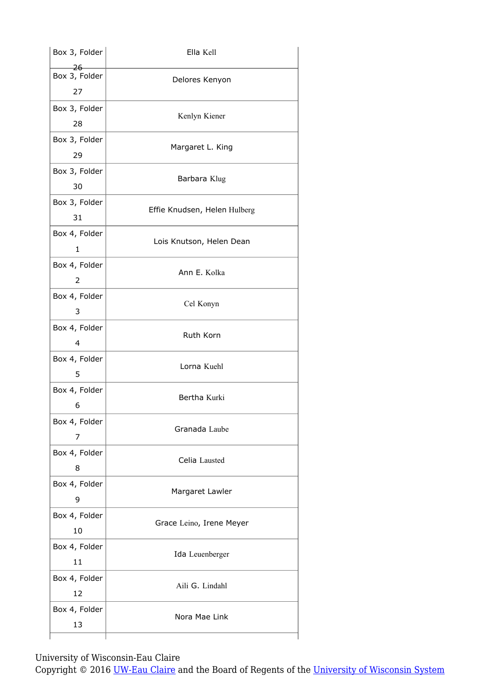| Box 3, Folder                | Ella Kell                    |
|------------------------------|------------------------------|
| $-26$<br>Box 3, Folder<br>27 | Delores Kenyon               |
| Box 3, Folder<br>28          | Kenlyn Kiener                |
| Box 3, Folder<br>29          | Margaret L. King             |
| Box 3, Folder<br>30          | Barbara Klug                 |
| Box 3, Folder<br>31          | Effie Knudsen, Helen Hulberg |
| Box 4, Folder<br>1           | Lois Knutson, Helen Dean     |
| Box 4, Folder<br>2           | Ann E. Kolka                 |
| Box 4, Folder<br>3           | Cel Konyn                    |
| Box 4, Folder<br>4           | Ruth Korn                    |
| Box 4, Folder<br>5           | Lorna Kuehl                  |
| Box 4, Folder<br>6           | Bertha Kurki                 |
| Box 4, Folder<br>7           | Granada Laube                |
| Box 4, Folder<br>8           | Celia Lausted                |
| Box 4, Folder<br>9           | Margaret Lawler              |
| Box 4, Folder<br>10          | Grace Leino, Irene Meyer     |
| Box 4, Folder<br>11          | Ida Leuenberger              |
| Box 4, Folder<br>12          | Aili G. Lindahl              |
| Box 4, Folder<br>13          | Nora Mae Link                |
|                              |                              |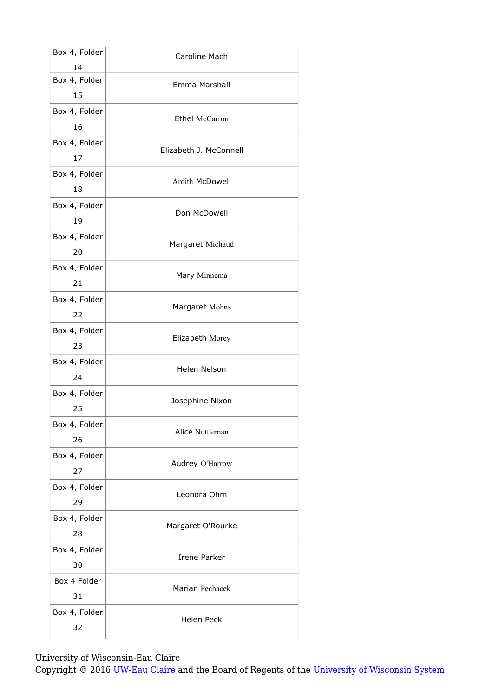| Box 4, Folder       | Caroline Mach          |
|---------------------|------------------------|
| 14                  |                        |
| Box 4, Folder<br>15 | Emma Marshall          |
|                     |                        |
| Box 4, Folder       | <b>Ethel McCarron</b>  |
| 16                  |                        |
| Box 4, Folder       | Elizabeth J. McConnell |
| 17                  |                        |
| Box 4, Folder       |                        |
| 18                  | Ardith McDowell        |
| Box 4, Folder       |                        |
| 19                  | Don McDowell           |
| Box 4, Folder       |                        |
| 20                  | Margaret Michaud       |
| Box 4, Folder       |                        |
| 21                  | Mary Minnema           |
|                     |                        |
| Box 4, Folder       | Margaret Mohns         |
| 22                  |                        |
| Box 4, Folder       | Elizabeth Morey        |
| 23                  |                        |
| Box 4, Folder       | Helen Nelson           |
| 24                  |                        |
| Box 4, Folder       |                        |
| 25                  | Josephine Nixon        |
| Box 4, Folder       |                        |
| 26                  | Alice Nuttleman        |
| Box 4, Folder       |                        |
| 27                  | Audrey O'Harrow        |
| Box 4, Folder       |                        |
| 29                  | Leonora Ohm            |
|                     |                        |
| Box 4, Folder       | Margaret O'Rourke      |
| 28                  |                        |
| Box 4, Folder       | Irene Parker           |
| 30                  |                        |
| Box 4 Folder        | Marian Pechacek        |
|                     |                        |
| 31                  |                        |
| Box 4, Folder       | <b>Helen Peck</b>      |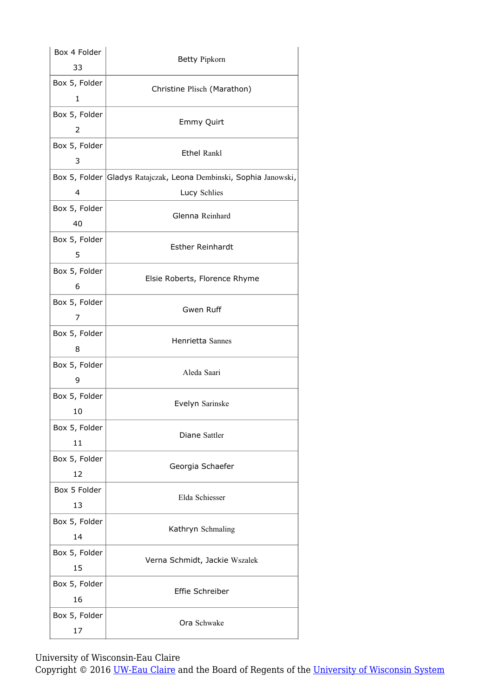| Box 4 Folder  | Betty Pipkorn                                                     |
|---------------|-------------------------------------------------------------------|
| 33            |                                                                   |
| Box 5, Folder | Christine Plisch (Marathon)                                       |
| 1             |                                                                   |
| Box 5, Folder |                                                                   |
| 2             | Emmy Quirt                                                        |
| Box 5, Folder |                                                                   |
| 3             | <b>Ethel Rankl</b>                                                |
|               | Box 5, Folder Gladys Ratajczak, Leona Dembinski, Sophia Janowski, |
| 4             | Lucy Schlies                                                      |
| Box 5, Folder |                                                                   |
| 40            | Glenna Reinhard                                                   |
| Box 5, Folder |                                                                   |
| 5             | <b>Esther Reinhardt</b>                                           |
| Box 5, Folder |                                                                   |
| 6             | Elsie Roberts, Florence Rhyme                                     |
| Box 5, Folder |                                                                   |
| 7             | Gwen Ruff                                                         |
| Box 5, Folder |                                                                   |
| 8             | Henrietta Sannes                                                  |
| Box 5, Folder |                                                                   |
| 9             | Aleda Saari                                                       |
| Box 5, Folder |                                                                   |
| 10            | Evelyn Sarinske                                                   |
| Box 5, Folder |                                                                   |
| 11            | Diane Sattler                                                     |
| Box 5, Folder |                                                                   |
| 12            | Georgia Schaefer                                                  |
| Box 5 Folder  |                                                                   |
| 13            | Elda Schiesser                                                    |
| Box 5, Folder |                                                                   |
| 14            | Kathryn Schmaling                                                 |
|               |                                                                   |
| Box 5, Folder | Verna Schmidt, Jackie Wszalek                                     |
| 15            |                                                                   |
| Box 5, Folder | Effie Schreiber                                                   |
| 16            |                                                                   |
| Box 5, Folder | Ora Schwake                                                       |
| 17            |                                                                   |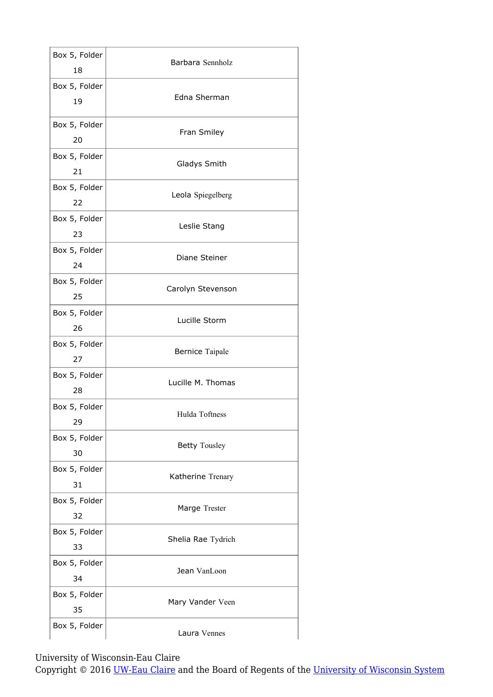| Box 5, Folder<br>18 | Barbara Sennholz     |
|---------------------|----------------------|
| Box 5, Folder<br>19 | Edna Sherman         |
| Box 5, Folder<br>20 | Fran Smiley          |
| Box 5, Folder<br>21 | Gladys Smith         |
| Box 5, Folder<br>22 | Leola Spiegelberg    |
| Box 5, Folder<br>23 | Leslie Stang         |
| Box 5, Folder<br>24 | Diane Steiner        |
| Box 5, Folder<br>25 | Carolyn Stevenson    |
| Box 5, Folder<br>26 | Lucille Storm        |
| Box 5, Folder<br>27 | Bernice Taipale      |
| Box 5, Folder<br>28 | Lucille M. Thomas    |
| Box 5, Folder<br>29 | Hulda Toftness       |
| Box 5, Folder<br>30 | <b>Betty Tousley</b> |
| Box 5, Folder<br>31 | Katherine Trenary    |
| Box 5, Folder<br>32 | Marge Trester        |
| Box 5, Folder<br>33 | Shelia Rae Tydrich   |
| Box 5, Folder<br>34 | Jean VanLoon         |
| Box 5, Folder<br>35 | Mary Vander Veen     |
| Box 5, Folder       | Laura Vennes         |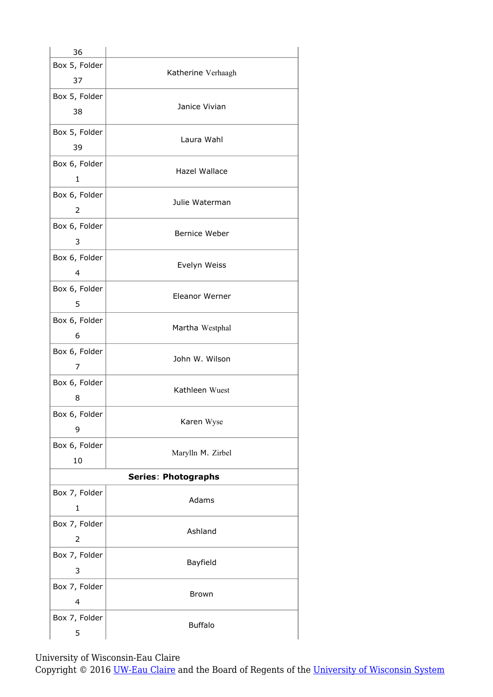| 36                            |                            |
|-------------------------------|----------------------------|
| Box 5, Folder<br>37           | Katherine Verhaagh         |
| Box 5, Folder<br>38           | Janice Vivian              |
| Box 5, Folder<br>39           | Laura Wahl                 |
| Box 6, Folder<br>1            | Hazel Wallace              |
| Box 6, Folder<br>2            | Julie Waterman             |
| Box 6, Folder<br>3            | Bernice Weber              |
| Box 6, Folder<br>4            | Evelyn Weiss               |
| Box 6, Folder<br>5            | Eleanor Werner             |
| Box 6, Folder<br>6            | Martha Westphal            |
| Box 6, Folder<br>7            | John W. Wilson             |
| Box 6, Folder<br>8            | Kathleen Wuest             |
| Box 6, Folder<br>9            | Karen Wyse                 |
| Box 6, Folder<br>10           | Marylln M. Zirbel          |
|                               | <b>Series: Photographs</b> |
| Box 7, Folder<br>$\mathbf{1}$ | Adams                      |
| Box 7, Folder<br>2            | Ashland                    |
| Box 7, Folder<br>3            | Bayfield                   |
| Box 7, Folder<br>4            | <b>Brown</b>               |
| Box 7, Folder<br>5            | <b>Buffalo</b>             |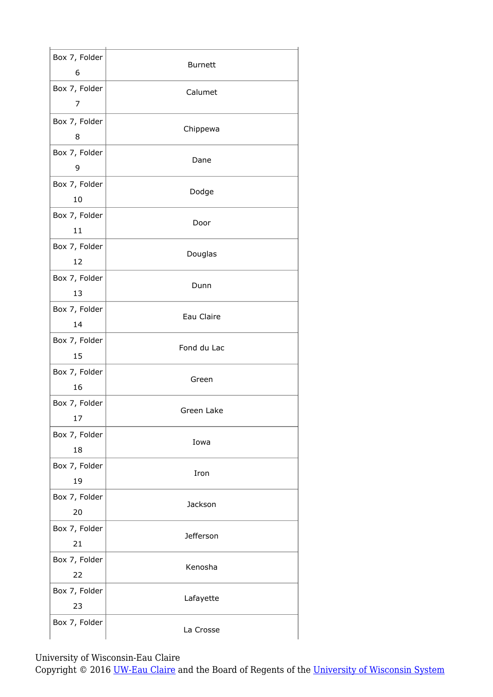| Box 7, Folder<br>6  | <b>Burnett</b> |
|---------------------|----------------|
| Box 7, Folder<br>7  | Calumet        |
| Box 7, Folder<br>8  | Chippewa       |
| Box 7, Folder<br>9  | Dane           |
| Box 7, Folder<br>10 | Dodge          |
| Box 7, Folder<br>11 | Door           |
| Box 7, Folder<br>12 | Douglas        |
| Box 7, Folder<br>13 | Dunn           |
| Box 7, Folder<br>14 | Eau Claire     |
| Box 7, Folder<br>15 | Fond du Lac    |
| Box 7, Folder<br>16 | Green          |
| Box 7, Folder<br>17 | Green Lake     |
| Box 7, Folder<br>18 | Iowa           |
| Box 7, Folder<br>19 | Iron           |
| Box 7, Folder<br>20 | Jackson        |
| Box 7, Folder<br>21 | Jefferson      |
| Box 7, Folder<br>22 | Kenosha        |
| Box 7, Folder<br>23 | Lafayette      |
| Box 7, Folder       | La Crosse      |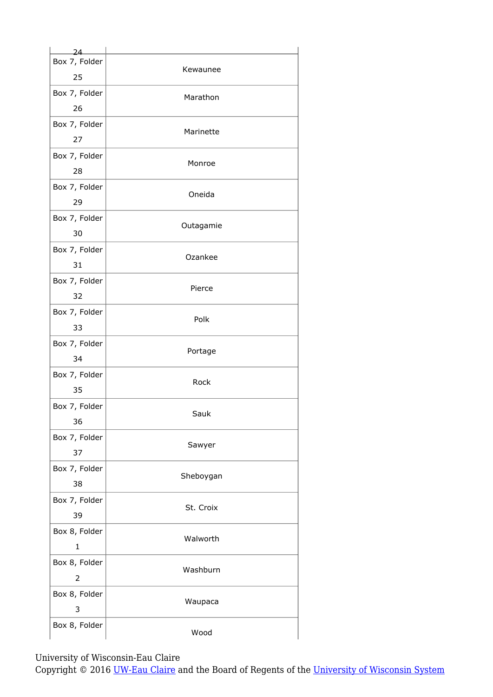| $24-$          |           |
|----------------|-----------|
| Box 7, Folder  | Kewaunee  |
| 25             |           |
| Box 7, Folder  | Marathon  |
| 26             |           |
| Box 7, Folder  | Marinette |
| 27             |           |
| Box 7, Folder  | Monroe    |
| 28             |           |
| Box 7, Folder  | Oneida    |
| 29             |           |
| Box 7, Folder  | Outagamie |
| 30             |           |
| Box 7, Folder  | Ozankee   |
| 31             |           |
| Box 7, Folder  | Pierce    |
| 32             |           |
| Box 7, Folder  | Polk      |
| 33             |           |
| Box 7, Folder  | Portage   |
| 34             |           |
| Box 7, Folder  | Rock      |
| 35             |           |
| Box 7, Folder  | Sauk      |
| 36             |           |
| Box 7, Folder  | Sawyer    |
| 37             |           |
| Box 7, Folder  | Sheboygan |
| 38             |           |
| Box 7, Folder  | St. Croix |
| 39             |           |
| Box 8, Folder  | Walworth  |
| $\mathbf{1}$   |           |
| Box 8, Folder  | Washburn  |
| $\overline{2}$ |           |
| Box 8, Folder  | Waupaca   |
| 3              |           |
| Box 8, Folder  |           |
|                | Wood      |